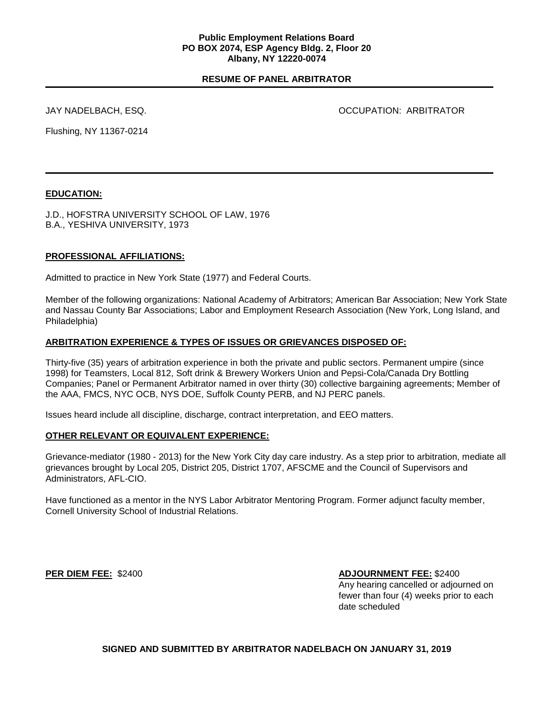## **RESUME OF PANEL ARBITRATOR**

JAY NADELBACH, ESQ. OCCUPATION: ARBITRATOR

Flushing, NY 11367-0214

# **EDUCATION:**

J.D., HOFSTRA UNIVERSITY SCHOOL OF LAW, 1976 B.A., YESHIVA UNIVERSITY, 1973

### **PROFESSIONAL AFFILIATIONS:**

Admitted to practice in New York State (1977) and Federal Courts.

Member of the following organizations: National Academy of Arbitrators; American Bar Association; New York State and Nassau County Bar Associations; Labor and Employment Research Association (New York, Long Island, and Philadelphia)

#### **ARBITRATION EXPERIENCE & TYPES OF ISSUES OR GRIEVANCES DISPOSED OF:**

Thirty-five (35) years of arbitration experience in both the private and public sectors. Permanent umpire (since 1998) for Teamsters, Local 812, Soft drink & Brewery Workers Union and Pepsi-Cola/Canada Dry Bottling Companies; Panel or Permanent Arbitrator named in over thirty (30) collective bargaining agreements; Member of the AAA, FMCS, NYC OCB, NYS DOE, Suffolk County PERB, and NJ PERC panels.

Issues heard include all discipline, discharge, contract interpretation, and EEO matters.

#### **OTHER RELEVANT OR EQUIVALENT EXPERIENCE:**

Grievance-mediator (1980 - 2013) for the New York City day care industry. As a step prior to arbitration, mediate all grievances brought by Local 205, District 205, District 1707, AFSCME and the Council of Supervisors and Administrators, AFL-CIO.

Have functioned as a mentor in the NYS Labor Arbitrator Mentoring Program. Former adjunct faculty member, Cornell University School of Industrial Relations.

**PER DIEM FEE:** \$2400 **ADJOURNMENT FEE:** \$2400

Any hearing cancelled or adjourned on fewer than four (4) weeks prior to each date scheduled

#### **SIGNED AND SUBMITTED BY ARBITRATOR NADELBACH ON JANUARY 31, 2019**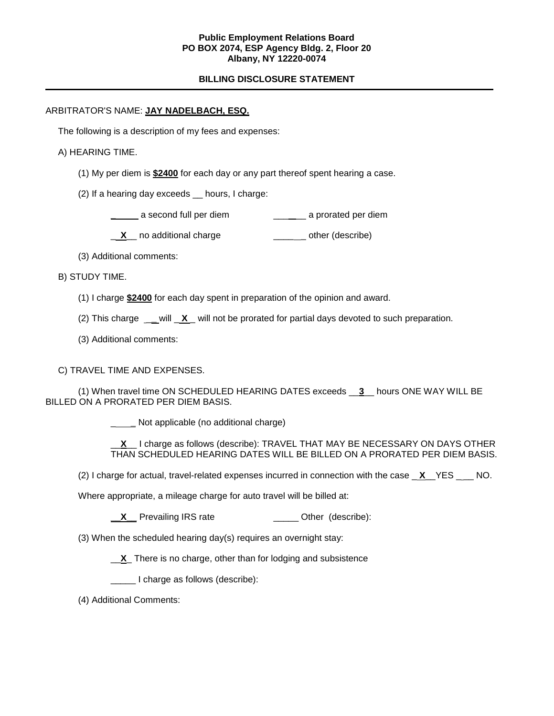#### **Public Employment Relations Board PO BOX 2074, ESP Agency Bldg. 2, Floor 20 Albany, NY 12220-0074**

# **BILLING DISCLOSURE STATEMENT**

### ARBITRATOR'S NAME: **JAY NADELBACH, ESQ.**

The following is a description of my fees and expenses:

### A) HEARING TIME.

- (1) My per diem is **\$2400** for each day or any part thereof spent hearing a case.
- (2) If a hearing day exceeds \_\_ hours, I charge:

**\_\_\_\_\_** a second full per diem  $\qquad \qquad \qquad$  **a** prorated per diem

**X** no additional charge **William** Controllery control of the reservice

(3) Additional comments:

B) STUDY TIME.

- (1) I charge **\$2400** for each day spent in preparation of the opinion and award.
- (2) This charge \_**\_** will \_ **X** \_ will not be prorated for partial days devoted to such preparation.
- (3) Additional comments:

C) TRAVEL TIME AND EXPENSES.

(1) When travel time ON SCHEDULED HEARING DATES exceeds \_\_**3**\_\_ hours ONE WAY WILL BE BILLED ON A PRORATED PER DIEM BASIS.

\_ **\_** Not applicable (no additional charge)

\_\_**X**\_\_ I charge as follows (describe): TRAVEL THAT MAY BE NECESSARY ON DAYS OTHER THAN SCHEDULED HEARING DATES WILL BE BILLED ON A PRORATED PER DIEM BASIS.

(2) I charge for actual, travel-related expenses incurred in connection with the case  $X$ <sup>\_</sup>YES \_\_\_ NO.

Where appropriate, a mileage charge for auto travel will be billed at:

**\_\_X** Prevailing IRS rate \_\_\_\_\_\_\_\_\_\_\_\_\_\_ Other (describe):

(3) When the scheduled hearing day(s) requires an overnight stay:

\_\_**X**\_ There is no charge, other than for lodging and subsistence

\_\_\_\_\_ I charge as follows (describe):

(4) Additional Comments: